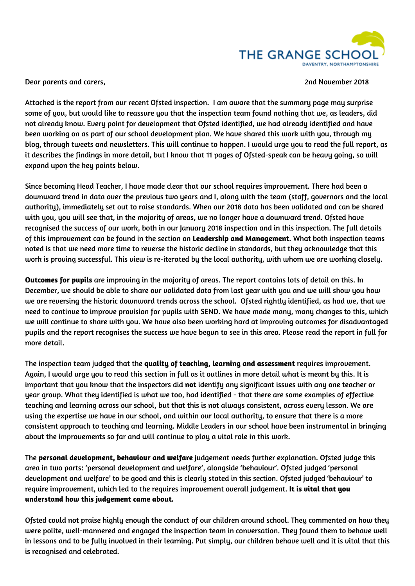

Dear parents and carers, 2nd November 2018

Attached is the report from our recent Ofsted inspection. I am aware that the summary page may surprise some of you, but would like to reassure you that the inspection team found nothing that we, as leaders, did not already know. Every point for development that Ofsted identified, we had already identified and have been working on as part of our school development plan. We have shared this work with you, through my blog, through tweets and newsletters. This will continue to happen. I would urge you to read the full report, as it describes the findings in more detail, but I know that 11 pages of Ofsted-speak can be heavy going, so will expand upon the key points below.

Since becoming Head Teacher, I have made clear that our school requires improvement. There had been a downward trend in data over the previous two years and I, along with the team (staff, governors and the local authority), immediately set out to raise standards. When our 2018 data has been validated and can be shared with you, you will see that, in the majority of areas, we no longer have a downward trend. Ofsted have recognised the success of our work, both in our January 2018 inspection and in this inspection. The full details of this improvement can be found in the section on **Leadership and Management**. What both inspection teams noted is that we need more time to reverse the historic decline in standards, but they acknowledge that this work is proving successful. This view is re-iterated by the local authority, with whom we are working closely.

**Outcomes for pupils** are improving in the majority of areas. The report contains lots of detail on this. In December, we should be able to share our validated data from last year with you and we will show you how we are reversing the historic downward trends across the school. Ofsted rightly identified, as had we, that we need to continue to improve provision for pupils with SEND. We have made many, many changes to this, which we will continue to share with you. We have also been working hard at improving outcomes for disadvantaged pupils and the report recognises the success we have begun to see in this area. Please read the report in full for more detail.

The inspection team judged that the **quality of teaching, learning and assessment** requires improvement. Again, I would urge you to read this section in full as it outlines in more detail what is meant by this. It is important that you know that the inspectors did **not** identify any significant issues with any one teacher or year group. What they identified is what we too, had identified - that there are some examples of effective teaching and learning across our school, but that this is not always consistent, across every lesson. We are using the expertise we have in our school, and within our local authority, to ensure that there is a more consistent approach to teaching and learning. Middle Leaders in our school have been instrumental in bringing about the improvements so far and will continue to play a vital role in this work.

The **personal development, behaviour and welfare** judgement needs further explanation. Ofsted judge this area in two parts: 'personal development and welfare', alongside 'behaviour'. Ofsted judged 'personal development and welfare' to be good and this is clearly stated in this section. Ofsted judged 'behaviour' to require improvement, which led to the requires improvement overall judgement. **It is vital that you understand how this judgement came about.**

Ofsted could not praise highly enough the conduct of our children around school. They commented on how they were polite, well-mannered and engaged the inspection team in conversation. They found them to behave well in lessons and to be fully involved in their learning. Put simply, our children behave well and it is vital that this is recognised and celebrated.